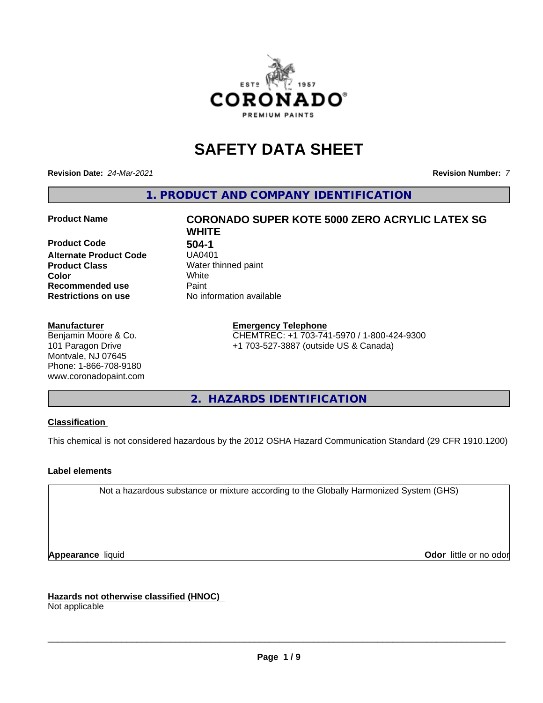

## **SAFETY DATA SHEET**

**Revision Date:** *24-Mar-2021* **Revision Number:** *7*

**1. PRODUCT AND COMPANY IDENTIFICATION**

**Product Code 504-1**<br>**Alternate Product Code 504-01 Alternate Product Code Product Class** Water thinned paint<br> **Color** White **Recommended use Caint Restrictions on use** No information available

#### **Manufacturer**

Benjamin Moore & Co. 101 Paragon Drive Montvale, NJ 07645 Phone: 1-866-708-9180 www.coronadopaint.com

# **Product Name CORONADO SUPER KOTE 5000 ZERO ACRYLIC LATEX SG WHITE Color** White

**Emergency Telephone** CHEMTREC: +1 703-741-5970 / 1-800-424-9300 +1 703-527-3887 (outside US & Canada)

**2. HAZARDS IDENTIFICATION**

#### **Classification**

This chemical is not considered hazardous by the 2012 OSHA Hazard Communication Standard (29 CFR 1910.1200)

#### **Label elements**

Not a hazardous substance or mixture according to the Globally Harmonized System (GHS)

**Appearance** liquid **Contract Contract Contract Contract Contract Contract Contract Contract Contract Contract Contract Contract Contract Contract Contract Contract Contract Contract Contract Contract Contract Contract Con** 

**Hazards not otherwise classified (HNOC)**

Not applicable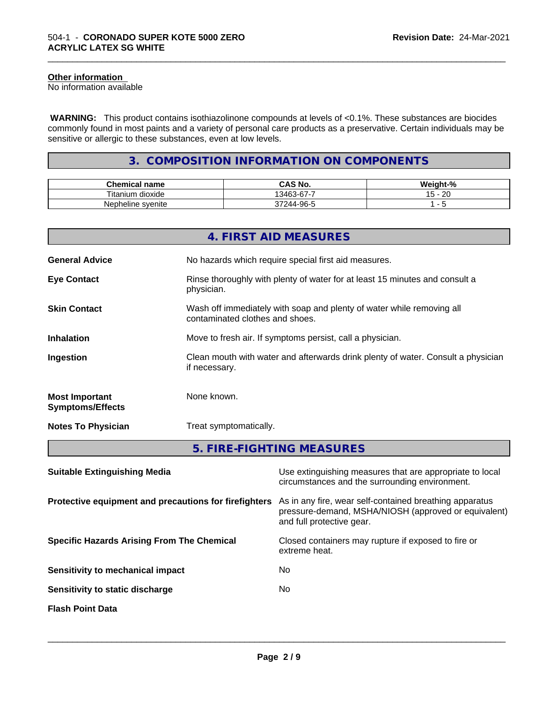#### **Other information**

No information available

 **WARNING:** This product contains isothiazolinone compounds at levels of <0.1%. These substances are biocides commonly found in most paints and a variety of personal care products as a preservative. Certain individuals may be sensitive or allergic to these substances, even at low levels.

\_\_\_\_\_\_\_\_\_\_\_\_\_\_\_\_\_\_\_\_\_\_\_\_\_\_\_\_\_\_\_\_\_\_\_\_\_\_\_\_\_\_\_\_\_\_\_\_\_\_\_\_\_\_\_\_\_\_\_\_\_\_\_\_\_\_\_\_\_\_\_\_\_\_\_\_\_\_\_\_\_\_\_\_\_\_\_\_\_\_\_\_\_

#### **3. COMPOSITION INFORMATION ON COMPONENTS**

| Chemical name                        | CAS No.                         | $\mathbf{r}$<br>- 70 |
|--------------------------------------|---------------------------------|----------------------|
| $- \cdot$ .<br>⊺itanium<br>. dioxide | $\sim$<br>-<br>13463<br>.<br>ີ  | ററ<br>∼              |
| Nepheline syenite                    | -96-5<br>$\cdot$<br>14 L<br>ึงเ |                      |

|                                                  | 4. FIRST AID MEASURES                                                                                    |
|--------------------------------------------------|----------------------------------------------------------------------------------------------------------|
| <b>General Advice</b>                            | No hazards which require special first aid measures.                                                     |
| <b>Eye Contact</b>                               | Rinse thoroughly with plenty of water for at least 15 minutes and consult a<br>physician.                |
| <b>Skin Contact</b>                              | Wash off immediately with soap and plenty of water while removing all<br>contaminated clothes and shoes. |
| <b>Inhalation</b>                                | Move to fresh air. If symptoms persist, call a physician.                                                |
| Ingestion                                        | Clean mouth with water and afterwards drink plenty of water. Consult a physician<br>if necessary.        |
| <b>Most Important</b><br><b>Symptoms/Effects</b> | None known.                                                                                              |
| <b>Notes To Physician</b>                        | Treat symptomatically.                                                                                   |
|                                                  | 5. FIRE-FIGHTING MEASURES                                                                                |

| <b>Suitable Extinguishing Media</b>                   | Use extinguishing measures that are appropriate to local<br>circumstances and the surrounding environment.                                   |
|-------------------------------------------------------|----------------------------------------------------------------------------------------------------------------------------------------------|
| Protective equipment and precautions for firefighters | As in any fire, wear self-contained breathing apparatus<br>pressure-demand, MSHA/NIOSH (approved or equivalent)<br>and full protective gear. |
| <b>Specific Hazards Arising From The Chemical</b>     | Closed containers may rupture if exposed to fire or<br>extreme heat.                                                                         |
| Sensitivity to mechanical impact                      | No.                                                                                                                                          |
| Sensitivity to static discharge                       | No.                                                                                                                                          |
| <b>Flash Point Data</b>                               |                                                                                                                                              |
|                                                       |                                                                                                                                              |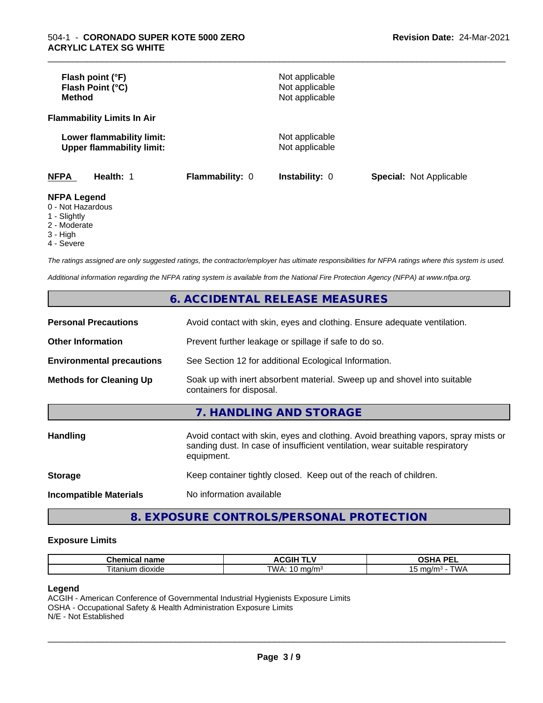| Flash point (°F)<br>Flash Point (°C)<br><b>Method</b>                  |                        | Not applicable<br>Not applicable<br>Not applicable |                                |
|------------------------------------------------------------------------|------------------------|----------------------------------------------------|--------------------------------|
| <b>Flammability Limits In Air</b>                                      |                        |                                                    |                                |
| Lower flammability limit:<br><b>Upper flammability limit:</b>          |                        | Not applicable<br>Not applicable                   |                                |
| <b>NFPA</b><br>Health: 1                                               | <b>Flammability: 0</b> | <b>Instability: 0</b>                              | <b>Special: Not Applicable</b> |
| <b>NFPA Legend</b><br>0 - Not Hazardous<br>$\overline{A}$ Clientals of |                        |                                                    |                                |

\_\_\_\_\_\_\_\_\_\_\_\_\_\_\_\_\_\_\_\_\_\_\_\_\_\_\_\_\_\_\_\_\_\_\_\_\_\_\_\_\_\_\_\_\_\_\_\_\_\_\_\_\_\_\_\_\_\_\_\_\_\_\_\_\_\_\_\_\_\_\_\_\_\_\_\_\_\_\_\_\_\_\_\_\_\_\_\_\_\_\_\_\_

1 - Slightly

2 - Moderate

3 - High

4 - Severe

*The ratings assigned are only suggested ratings, the contractor/employer has ultimate responsibilities for NFPA ratings where this system is used.*

*Additional information regarding the NFPA rating system is available from the National Fire Protection Agency (NFPA) at www.nfpa.org.*

#### **6. ACCIDENTAL RELEASE MEASURES**

| <b>Personal Precautions</b>      | Avoid contact with skin, eyes and clothing. Ensure adequate ventilation.                                                                                                         |
|----------------------------------|----------------------------------------------------------------------------------------------------------------------------------------------------------------------------------|
| <b>Other Information</b>         | Prevent further leakage or spillage if safe to do so.                                                                                                                            |
| <b>Environmental precautions</b> | See Section 12 for additional Ecological Information.                                                                                                                            |
| <b>Methods for Cleaning Up</b>   | Soak up with inert absorbent material. Sweep up and shovel into suitable<br>containers for disposal.                                                                             |
|                                  | 7. HANDLING AND STORAGE                                                                                                                                                          |
| Handling                         | Avoid contact with skin, eyes and clothing. Avoid breathing vapors, spray mists or<br>sanding dust. In case of insufficient ventilation, wear suitable respiratory<br>equipment. |
| <b>Storage</b>                   | Keep container tightly closed. Keep out of the reach of children.                                                                                                                |
| <b>Incompatible Materials</b>    | No information available                                                                                                                                                         |

#### **8. EXPOSURE CONTROLS/PERSONAL PROTECTION**

#### **Exposure Limits**

| Chemical name              | <b>ACGIH TIME</b>  | DE)<br>ת ו<br>---<br>-- |
|----------------------------|--------------------|-------------------------|
| --<br>dioxide<br>ı ıtanıum | TWA<br>ി0/m<br>. . | T111<br>ma/mª<br>ັ<br>. |

#### **Legend**

ACGIH - American Conference of Governmental Industrial Hygienists Exposure Limits OSHA - Occupational Safety & Health Administration Exposure Limits N/E - Not Established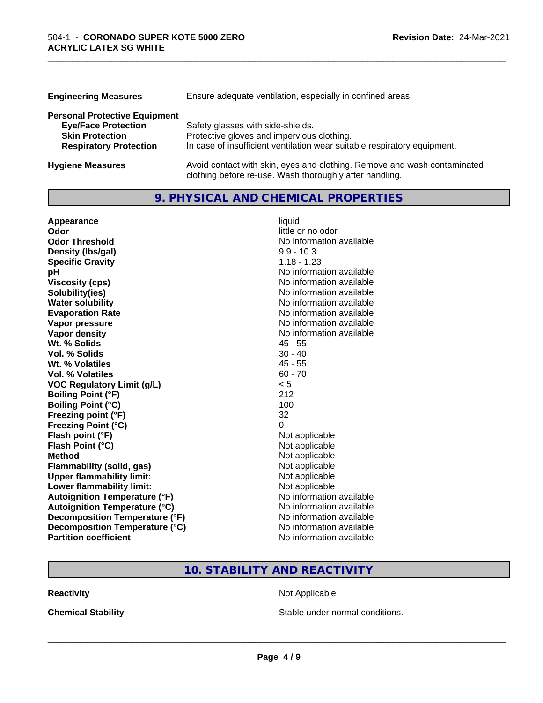| <b>Engineering Measures</b>          | Ensure adequate ventilation, especially in confined areas.               |  |  |
|--------------------------------------|--------------------------------------------------------------------------|--|--|
| <b>Personal Protective Equipment</b> |                                                                          |  |  |
| <b>Eye/Face Protection</b>           | Safety glasses with side-shields.                                        |  |  |
| <b>Skin Protection</b>               | Protective gloves and impervious clothing.                               |  |  |
| <b>Respiratory Protection</b>        | In case of insufficient ventilation wear suitable respiratory equipment. |  |  |
| <b>Hygiene Measures</b>              | Avoid contact with skin, eyes and clothing. Remove and wash contaminated |  |  |

clothing before re-use. Wash thoroughly after handling.

\_\_\_\_\_\_\_\_\_\_\_\_\_\_\_\_\_\_\_\_\_\_\_\_\_\_\_\_\_\_\_\_\_\_\_\_\_\_\_\_\_\_\_\_\_\_\_\_\_\_\_\_\_\_\_\_\_\_\_\_\_\_\_\_\_\_\_\_\_\_\_\_\_\_\_\_\_\_\_\_\_\_\_\_\_\_\_\_\_\_\_\_\_

#### **9. PHYSICAL AND CHEMICAL PROPERTIES**

| Appearance                            | liquid                   |
|---------------------------------------|--------------------------|
| Odor                                  | little or no odor        |
| <b>Odor Threshold</b>                 | No information available |
| Density (Ibs/gal)                     | $9.9 - 10.3$             |
| <b>Specific Gravity</b>               | $1.18 - 1.23$            |
| рH                                    | No information available |
| <b>Viscosity (cps)</b>                | No information available |
| Solubility(ies)                       | No information available |
| <b>Water solubility</b>               | No information available |
| <b>Evaporation Rate</b>               | No information available |
| Vapor pressure                        | No information available |
| <b>Vapor density</b>                  | No information available |
| Wt. % Solids                          | $45 - 55$                |
| <b>Vol. % Solids</b>                  | $30 - 40$                |
| Wt. % Volatiles                       | $45 - 55$                |
| Vol. % Volatiles                      | $60 - 70$                |
| <b>VOC Regulatory Limit (g/L)</b>     | < 5                      |
| <b>Boiling Point (°F)</b>             | 212                      |
| <b>Boiling Point (°C)</b>             | 100                      |
| Freezing point (°F)                   | 32                       |
| <b>Freezing Point (°C)</b>            | 0                        |
| Flash point (°F)                      | Not applicable           |
| Flash Point (°C)                      | Not applicable           |
| <b>Method</b>                         | Not applicable           |
| <b>Flammability (solid, gas)</b>      | Not applicable           |
| <b>Upper flammability limit:</b>      | Not applicable           |
| Lower flammability limit:             | Not applicable           |
| <b>Autoignition Temperature (°F)</b>  | No information available |
| <b>Autoignition Temperature (°C)</b>  | No information available |
| <b>Decomposition Temperature (°F)</b> | No information available |
| Decomposition Temperature (°C)        | No information available |
| <b>Partition coefficient</b>          | No information available |

### **10. STABILITY AND REACTIVITY**

**Reactivity Not Applicable** Not Applicable

**Chemical Stability Chemical Stability** Stable under normal conditions.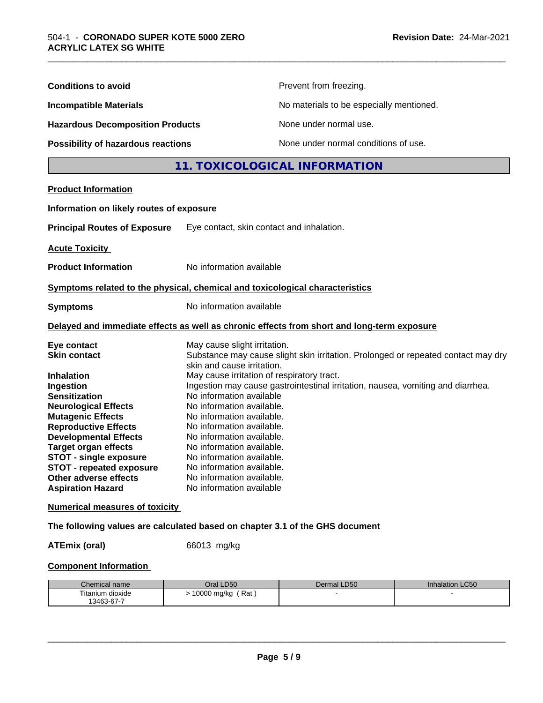| <b>Conditions to avoid</b>                                                                                                                                                                                                                                                                                                                                                     |                                                                                                                                                                                                                                                                                                                                                                                                                                                                                                                                                                                  | Prevent from freezing.                   |                 |  |
|--------------------------------------------------------------------------------------------------------------------------------------------------------------------------------------------------------------------------------------------------------------------------------------------------------------------------------------------------------------------------------|----------------------------------------------------------------------------------------------------------------------------------------------------------------------------------------------------------------------------------------------------------------------------------------------------------------------------------------------------------------------------------------------------------------------------------------------------------------------------------------------------------------------------------------------------------------------------------|------------------------------------------|-----------------|--|
| <b>Incompatible Materials</b><br><b>Hazardous Decomposition Products</b>                                                                                                                                                                                                                                                                                                       |                                                                                                                                                                                                                                                                                                                                                                                                                                                                                                                                                                                  | No materials to be especially mentioned. |                 |  |
|                                                                                                                                                                                                                                                                                                                                                                                |                                                                                                                                                                                                                                                                                                                                                                                                                                                                                                                                                                                  | None under normal use.                   |                 |  |
| <b>Possibility of hazardous reactions</b>                                                                                                                                                                                                                                                                                                                                      |                                                                                                                                                                                                                                                                                                                                                                                                                                                                                                                                                                                  | None under normal conditions of use.     |                 |  |
|                                                                                                                                                                                                                                                                                                                                                                                |                                                                                                                                                                                                                                                                                                                                                                                                                                                                                                                                                                                  | 11. TOXICOLOGICAL INFORMATION            |                 |  |
| <b>Product Information</b>                                                                                                                                                                                                                                                                                                                                                     |                                                                                                                                                                                                                                                                                                                                                                                                                                                                                                                                                                                  |                                          |                 |  |
| Information on likely routes of exposure                                                                                                                                                                                                                                                                                                                                       |                                                                                                                                                                                                                                                                                                                                                                                                                                                                                                                                                                                  |                                          |                 |  |
| <b>Principal Routes of Exposure</b>                                                                                                                                                                                                                                                                                                                                            | Eye contact, skin contact and inhalation.                                                                                                                                                                                                                                                                                                                                                                                                                                                                                                                                        |                                          |                 |  |
| <b>Acute Toxicity</b>                                                                                                                                                                                                                                                                                                                                                          |                                                                                                                                                                                                                                                                                                                                                                                                                                                                                                                                                                                  |                                          |                 |  |
| <b>Product Information</b>                                                                                                                                                                                                                                                                                                                                                     | No information available                                                                                                                                                                                                                                                                                                                                                                                                                                                                                                                                                         |                                          |                 |  |
| Symptoms related to the physical, chemical and toxicological characteristics                                                                                                                                                                                                                                                                                                   |                                                                                                                                                                                                                                                                                                                                                                                                                                                                                                                                                                                  |                                          |                 |  |
| <b>Symptoms</b>                                                                                                                                                                                                                                                                                                                                                                | No information available                                                                                                                                                                                                                                                                                                                                                                                                                                                                                                                                                         |                                          |                 |  |
| Delayed and immediate effects as well as chronic effects from short and long-term exposure                                                                                                                                                                                                                                                                                     |                                                                                                                                                                                                                                                                                                                                                                                                                                                                                                                                                                                  |                                          |                 |  |
| Eye contact<br><b>Skin contact</b><br><b>Inhalation</b><br>Ingestion<br><b>Sensitization</b><br><b>Neurological Effects</b><br><b>Mutagenic Effects</b><br><b>Reproductive Effects</b><br><b>Developmental Effects</b><br><b>Target organ effects</b><br><b>STOT - single exposure</b><br><b>STOT - repeated exposure</b><br>Other adverse effects<br><b>Aspiration Hazard</b> | May cause slight irritation.<br>Substance may cause slight skin irritation. Prolonged or repeated contact may dry<br>skin and cause irritation.<br>May cause irritation of respiratory tract.<br>Ingestion may cause gastrointestinal irritation, nausea, vomiting and diarrhea.<br>No information available<br>No information available.<br>No information available.<br>No information available.<br>No information available.<br>No information available.<br>No information available.<br>No information available.<br>No information available.<br>No information available |                                          |                 |  |
| <b>Numerical measures of toxicity</b>                                                                                                                                                                                                                                                                                                                                          |                                                                                                                                                                                                                                                                                                                                                                                                                                                                                                                                                                                  |                                          |                 |  |
| The following values are calculated based on chapter 3.1 of the GHS document                                                                                                                                                                                                                                                                                                   |                                                                                                                                                                                                                                                                                                                                                                                                                                                                                                                                                                                  |                                          |                 |  |
| <b>ATEmix (oral)</b>                                                                                                                                                                                                                                                                                                                                                           | 66013 mg/kg                                                                                                                                                                                                                                                                                                                                                                                                                                                                                                                                                                      |                                          |                 |  |
| <b>Component Information</b>                                                                                                                                                                                                                                                                                                                                                   |                                                                                                                                                                                                                                                                                                                                                                                                                                                                                                                                                                                  |                                          |                 |  |
| Chemical name                                                                                                                                                                                                                                                                                                                                                                  | Oral LD50                                                                                                                                                                                                                                                                                                                                                                                                                                                                                                                                                                        | Dermal LD50                              | Inhalation LC50 |  |
| Titanium dioxide<br>13463-67-7                                                                                                                                                                                                                                                                                                                                                 | $> 10000$ mg/kg (Rat)                                                                                                                                                                                                                                                                                                                                                                                                                                                                                                                                                            |                                          |                 |  |

\_\_\_\_\_\_\_\_\_\_\_\_\_\_\_\_\_\_\_\_\_\_\_\_\_\_\_\_\_\_\_\_\_\_\_\_\_\_\_\_\_\_\_\_\_\_\_\_\_\_\_\_\_\_\_\_\_\_\_\_\_\_\_\_\_\_\_\_\_\_\_\_\_\_\_\_\_\_\_\_\_\_\_\_\_\_\_\_\_\_\_\_\_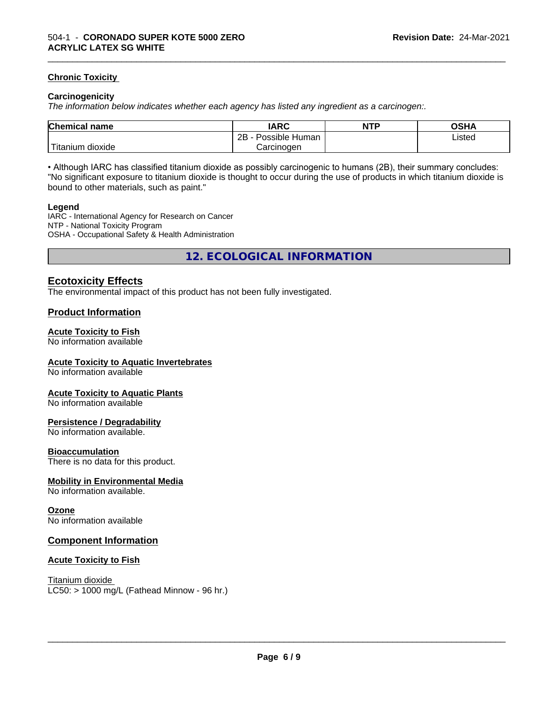#### **Chronic Toxicity**

#### **Carcinogenicity**

*The information below indicateswhether each agency has listed any ingredient as a carcinogen:.*

| <b>Chemical name</b>           | <b>IARC</b>                      | <b>NTP</b> | <b>OCUA</b><br>∪o⊓r |
|--------------------------------|----------------------------------|------------|---------------------|
|                                | . .<br>2B<br>: Human<br>Possible |            | Listed              |
| .<br>dioxide<br><b>itanium</b> | Carcinogen                       |            |                     |

\_\_\_\_\_\_\_\_\_\_\_\_\_\_\_\_\_\_\_\_\_\_\_\_\_\_\_\_\_\_\_\_\_\_\_\_\_\_\_\_\_\_\_\_\_\_\_\_\_\_\_\_\_\_\_\_\_\_\_\_\_\_\_\_\_\_\_\_\_\_\_\_\_\_\_\_\_\_\_\_\_\_\_\_\_\_\_\_\_\_\_\_\_

• Although IARC has classified titanium dioxide as possibly carcinogenic to humans (2B), their summary concludes: "No significant exposure to titanium dioxide is thought to occur during the use of products in which titanium dioxide is bound to other materials, such as paint."

#### **Legend**

IARC - International Agency for Research on Cancer NTP - National Toxicity Program OSHA - Occupational Safety & Health Administration

**12. ECOLOGICAL INFORMATION**

#### **Ecotoxicity Effects**

The environmental impact of this product has not been fully investigated.

#### **Product Information**

#### **Acute Toxicity to Fish**

No information available

#### **Acute Toxicity to Aquatic Invertebrates**

No information available

#### **Acute Toxicity to Aquatic Plants**

No information available

#### **Persistence / Degradability**

No information available.

#### **Bioaccumulation**

There is no data for this product.

#### **Mobility in Environmental Media**

No information available.

#### **Ozone**

No information available

#### **Component Information**

#### **Acute Toxicity to Fish**

Titanium dioxide  $LC50:$  > 1000 mg/L (Fathead Minnow - 96 hr.)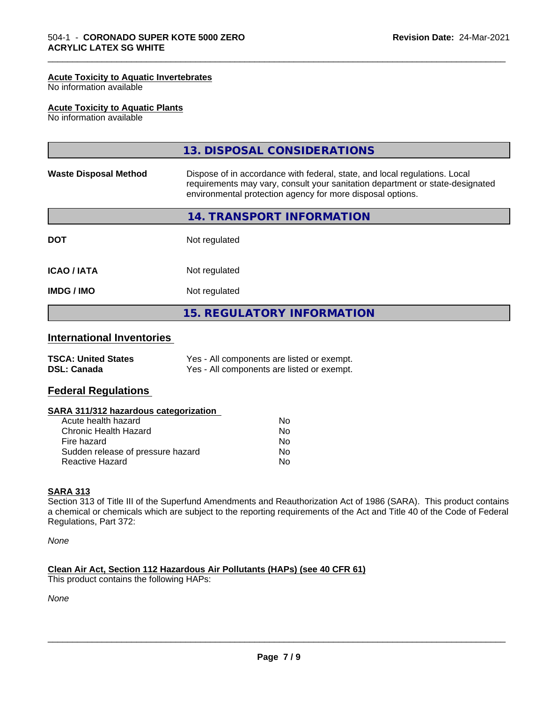#### **Acute Toxicity to Aquatic Invertebrates**

No information available

#### **Acute Toxicity to Aquatic Plants**

No information available

|                              | 13. DISPOSAL CONSIDERATIONS                                                                                                                                                                                               |
|------------------------------|---------------------------------------------------------------------------------------------------------------------------------------------------------------------------------------------------------------------------|
| <b>Waste Disposal Method</b> | Dispose of in accordance with federal, state, and local regulations. Local<br>requirements may vary, consult your sanitation department or state-designated<br>environmental protection agency for more disposal options. |
|                              | 14. TRANSPORT INFORMATION                                                                                                                                                                                                 |
| <b>DOT</b>                   | Not regulated                                                                                                                                                                                                             |
| <b>ICAO/IATA</b>             | Not regulated                                                                                                                                                                                                             |
| <b>IMDG / IMO</b>            | Not regulated                                                                                                                                                                                                             |
|                              | <b>15. REGULATORY INFORMATION</b>                                                                                                                                                                                         |

\_\_\_\_\_\_\_\_\_\_\_\_\_\_\_\_\_\_\_\_\_\_\_\_\_\_\_\_\_\_\_\_\_\_\_\_\_\_\_\_\_\_\_\_\_\_\_\_\_\_\_\_\_\_\_\_\_\_\_\_\_\_\_\_\_\_\_\_\_\_\_\_\_\_\_\_\_\_\_\_\_\_\_\_\_\_\_\_\_\_\_\_\_

#### **International Inventories**

| <b>TSCA: United States</b> | Yes - All components are listed or exempt. |
|----------------------------|--------------------------------------------|
| <b>DSL: Canada</b>         | Yes - All components are listed or exempt. |

#### **Federal Regulations**

#### **SARA 311/312 hazardous categorization**

| Acute health hazard               | No |  |
|-----------------------------------|----|--|
| Chronic Health Hazard             | N٥ |  |
| Fire hazard                       | Nο |  |
| Sudden release of pressure hazard | Nο |  |
| Reactive Hazard                   | Nο |  |

#### **SARA 313**

Section 313 of Title III of the Superfund Amendments and Reauthorization Act of 1986 (SARA). This product contains a chemical or chemicals which are subject to the reporting requirements of the Act and Title 40 of the Code of Federal Regulations, Part 372:

*None*

#### **Clean Air Act,Section 112 Hazardous Air Pollutants (HAPs) (see 40 CFR 61)**

This product contains the following HAPs:

*None*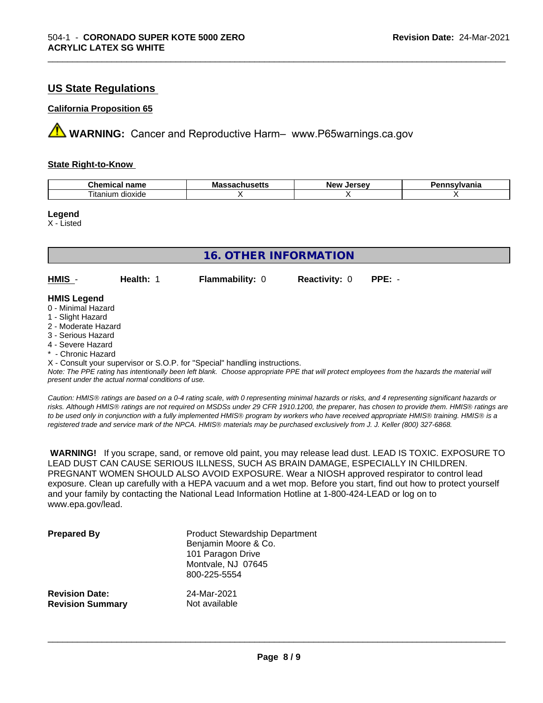#### **US State Regulations**

#### **California Proposition 65**

**A** WARNING: Cancer and Reproductive Harm– www.P65warnings.ca.gov

#### **State Right-to-Know**

| ъ.<br>$ -$<br>$n_{max}$<br>nemical<br>name<br>.            | Ma<br>пиэспэ<br>. | Iarcav<br>Ne'<br>--<br>-35 | /Ivania |
|------------------------------------------------------------|-------------------|----------------------------|---------|
| $\overline{\phantom{a}}$<br>$\sim$<br>dioxide<br>, itanıum |                   |                            |         |

\_\_\_\_\_\_\_\_\_\_\_\_\_\_\_\_\_\_\_\_\_\_\_\_\_\_\_\_\_\_\_\_\_\_\_\_\_\_\_\_\_\_\_\_\_\_\_\_\_\_\_\_\_\_\_\_\_\_\_\_\_\_\_\_\_\_\_\_\_\_\_\_\_\_\_\_\_\_\_\_\_\_\_\_\_\_\_\_\_\_\_\_\_

**Legend**

X - Listed

| <b>16. OTHER INFORMATION</b> |           |                                                                            |                      |          |  |
|------------------------------|-----------|----------------------------------------------------------------------------|----------------------|----------|--|
| HMIS -                       | Health: 1 | <b>Flammability: 0</b>                                                     | <b>Reactivity: 0</b> | $PPE: -$ |  |
| <b>HMIS Legend</b>           |           |                                                                            |                      |          |  |
| 0 - Minimal Hazard           |           |                                                                            |                      |          |  |
| 1 - Slight Hazard            |           |                                                                            |                      |          |  |
| 2 - Moderate Hazard          |           |                                                                            |                      |          |  |
| 3 - Serious Hazard           |           |                                                                            |                      |          |  |
| 4 - Severe Hazard            |           |                                                                            |                      |          |  |
| * - Chronic Hazard           |           |                                                                            |                      |          |  |
|                              |           | X - Consult your supervisor or S.O.P. for "Special" handling instructions. |                      |          |  |

*Note: The PPE rating has intentionally been left blank. Choose appropriate PPE that will protect employees from the hazards the material will present under the actual normal conditions of use.*

*Caution: HMISÒ ratings are based on a 0-4 rating scale, with 0 representing minimal hazards or risks, and 4 representing significant hazards or risks. Although HMISÒ ratings are not required on MSDSs under 29 CFR 1910.1200, the preparer, has chosen to provide them. HMISÒ ratings are to be used only in conjunction with a fully implemented HMISÒ program by workers who have received appropriate HMISÒ training. HMISÒ is a registered trade and service mark of the NPCA. HMISÒ materials may be purchased exclusively from J. J. Keller (800) 327-6868.*

 **WARNING!** If you scrape, sand, or remove old paint, you may release lead dust. LEAD IS TOXIC. EXPOSURE TO LEAD DUST CAN CAUSE SERIOUS ILLNESS, SUCH AS BRAIN DAMAGE, ESPECIALLY IN CHILDREN. PREGNANT WOMEN SHOULD ALSO AVOID EXPOSURE.Wear a NIOSH approved respirator to control lead exposure. Clean up carefully with a HEPA vacuum and a wet mop. Before you start, find out how to protect yourself and your family by contacting the National Lead Information Hotline at 1-800-424-LEAD or log on to www.epa.gov/lead.

| <b>Prepared By</b>      | <b>Product Stewardship Department</b><br>Benjamin Moore & Co.<br>101 Paragon Drive<br>Montvale, NJ 07645<br>800-225-5554 |
|-------------------------|--------------------------------------------------------------------------------------------------------------------------|
| <b>Revision Date:</b>   | 24-Mar-2021                                                                                                              |
| <b>Revision Summary</b> | Not available                                                                                                            |